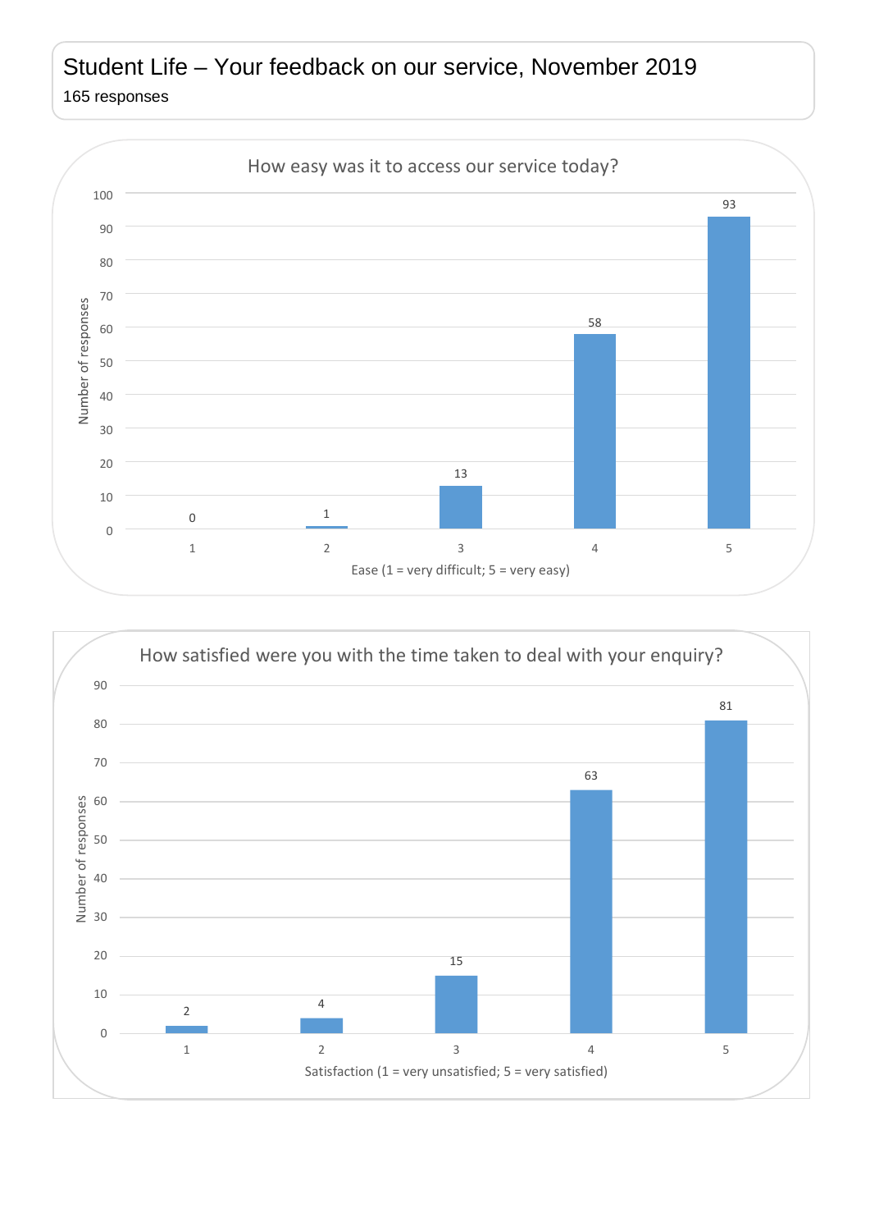## Student Life – Your feedback on our service, November 2019 165 responses



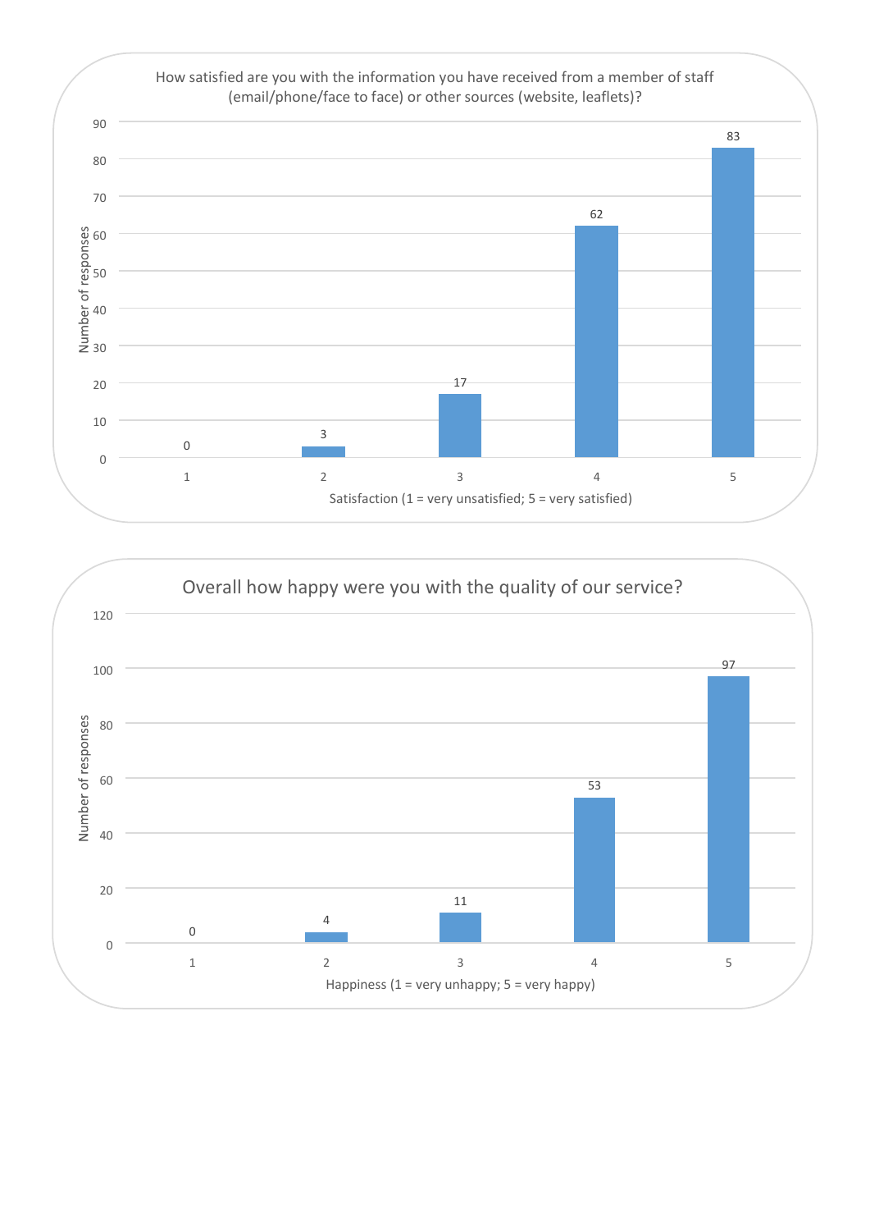